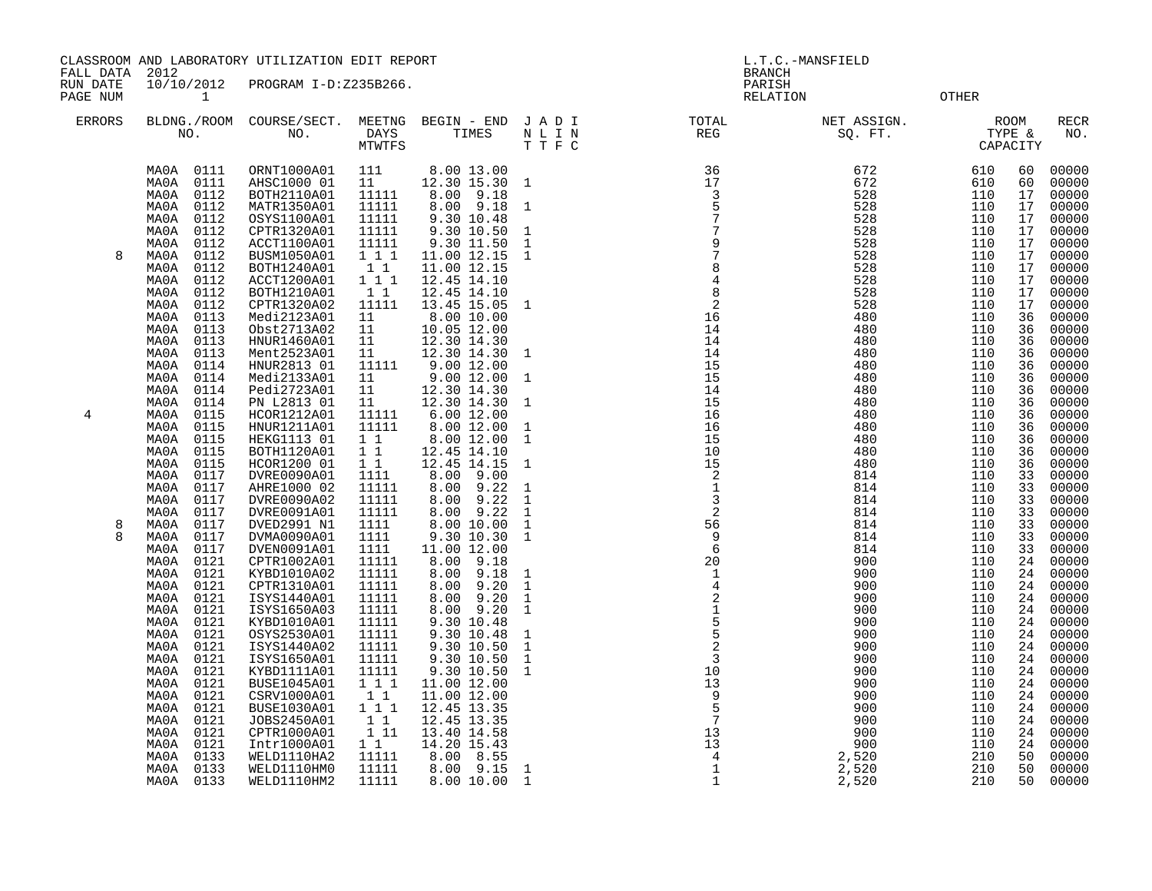CLASSROOM AND LABORATORY UTILIZATION EDIT REPORT AND THE CONSTRUCTED AND L.T.C.-MANSFIELD

FALL DATA 2012 BRANCH

RUN DATE  $10/10/2012$  PROGRAM I-D:Z235B266.<br>
PAGE NUM 1 PAGE NUM 1 RELATION OTHER

| <b>ERRORS</b> | BLDNG./ROOM<br>NO.                                                                                                                                                                                                        | COURSE/SECT.<br>NO.                                                                                                                                                                                            | MEETNG<br>DAYS<br>MTWTFS                                                                                                     | BEGIN - END<br>TIMES                                                                                                                                                                                            | J A D I<br>$\begin{array}{cccccc} N&L&I&N\\ T&T&F&C \end{array}$                                                      | TOTAL<br>REG                                                                                                                                                                                                                       | NET ASSIGN.<br>SQ. FT.                                                                                     | TYPE &<br>Capacity<br>CAPACITY                                                                 | <b>ROOM</b>                                                                      | <b>RECR</b><br>NO.                                                                                                         |
|---------------|---------------------------------------------------------------------------------------------------------------------------------------------------------------------------------------------------------------------------|----------------------------------------------------------------------------------------------------------------------------------------------------------------------------------------------------------------|------------------------------------------------------------------------------------------------------------------------------|-----------------------------------------------------------------------------------------------------------------------------------------------------------------------------------------------------------------|-----------------------------------------------------------------------------------------------------------------------|------------------------------------------------------------------------------------------------------------------------------------------------------------------------------------------------------------------------------------|------------------------------------------------------------------------------------------------------------|------------------------------------------------------------------------------------------------|----------------------------------------------------------------------------------|----------------------------------------------------------------------------------------------------------------------------|
|               | 0111<br>MA0A<br>0111<br>MA0A<br>0112<br>MA0A<br>0112<br>MA0A<br>MA0A<br>0112<br>MA0A<br>0112<br>0112<br>MA0A                                                                                                              | ORNT1000A01<br>AHSC1000 01<br>BOTH2110A01<br>MATR1350A01<br>OSYS1100A01<br>CPTR1320A01<br>ACCT1100A01                                                                                                          | 111<br>11<br>11111<br>11111<br>11111<br>11111<br>11111                                                                       | 8.00 13.00<br>12.30 15.30 1<br>$8.00$ $9.18$<br>$8.00$ $9.18$<br>9.30 10.48<br>9.30 10.50<br>9.30 11.50                                                                                                         | $\mathbf{1}$<br>$\mathbf 1$<br>$1\,$                                                                                  | $\begin{array}{r} 36 \\ 17 \\ 3 \\ 5 \\ 7 \\ 7 \\ 9 \\ 7 \\ 8 \\ 4 \\ 4 \\ 2 \\ 2 \\ 16 \\ 14 \\ \end{array}$                                                                                                                      | 672<br>672<br>528<br>528<br>528<br>$\frac{528}{528}$                                                       | 610<br>610<br>110<br>110<br>110<br>110<br>110                                                  | 60<br>60<br>17<br>17<br>17<br>17<br>17                                           | 00000<br>00000<br>00000<br>00000<br>00000<br>00000<br>00000                                                                |
| 8             | 0112<br>MA0A<br>MA0A<br>0112<br>0112<br>MA0A<br>0112<br>MA0A<br>MA0A<br>0112<br>0113<br>MA0A<br>MA0A<br>0113<br>MA0A<br>0113<br>0113<br>MA0A<br>0114<br>MA0A                                                              | BUSM1050A01<br>BOTH1240A01<br>ACCT1200A01<br>BOTH1210A01<br>CPTR1320A02<br>Medi2123A01<br>Obst2713A02<br>HNUR1460A01<br>Ment2523A01<br>HNUR2813 01                                                             | 111<br>1 1<br>$1 \quad 1 \quad 1$<br>11<br>11111<br>11<br>11<br>11<br>11<br>11111                                            | 11.00 12.15<br>11.00 12.15<br>$\begin{array}{rrrr} 12.45 & 14.10 \\ 12.45 & 14.10 \end{array}$<br>13.45 15.05<br>$8.00$ 10.00<br>10.05 12.00<br>12.30 14.30<br>12.30 14.30<br>9.00 12.00                        | $\mathbf{1}$<br>$\overline{1}$<br>$\mathbf{1}$                                                                        | 14<br>14<br>14<br>15                                                                                                                                                                                                               | 528<br>528<br>528<br>528<br>528<br>480<br>480<br>480<br>480<br>480                                         | 110<br>110<br>110<br>110<br>110<br>110<br>110<br>110<br>110<br>110                             | 17<br>17<br>17<br>17<br>17<br>36<br>36<br>36<br>36<br>36                         | 00000<br>00000<br>00000<br>00000<br>00000<br>00000<br>00000<br>00000<br>00000<br>00000                                     |
| 4             | MA0A<br>0114<br>0114<br>MA0A<br>MA0A<br>0114<br>0115<br>MA0A<br>0115<br>MAOA<br>MA0A<br>0115<br>0115<br>MA0A<br>MA0A<br>0115<br>MA0A<br>0117<br>MA0A<br>0117                                                              | Medi2133A01<br>Pedi2723A01<br>PN L2813 01<br>HCOR1212A01<br>HNUR1211A01<br>HEKG1113 01<br>BOTH1120A01<br>HCOR1200 01<br>DVRE0090A01<br>AHRE1000 02                                                             | 11<br>11<br>11<br>11111<br>11111<br>$1\quad1$<br>11<br>$1\quad1$<br>1111<br>11111                                            | 9.00 12.00<br>12.30 14.30<br>$\begin{array}{rr} 12.30 & 14.30 \\ 6.00 & 12.00 \\ 8.00 & 12.00 \\ 9.00 & 12.00 \\ \end{array}$<br>12.45 14.10<br>12.45 14.15<br>8.00<br>9.00<br>8.00<br>9.22                     | 1<br>1<br>$\mathbf{1}$<br>$\mathbf{1}$<br>$\mathbf{1}$<br>$\mathbf{1}$                                                | 15<br>14<br>15<br>16                                                                                                                                                                                                               | 480<br>480<br>480<br>480<br>480<br>480<br>480<br>480<br>814<br>814                                         | 110<br>110<br>110<br>110<br>110<br>110<br>110<br>110<br>110<br>110                             | 36<br>36<br>36<br>36<br>36<br>36<br>36<br>36<br>33<br>33                         | 00000<br>00000<br>00000<br>00000<br>00000<br>00000<br>00000<br>00000<br>00000<br>00000                                     |
| 8             | MA0A<br>0117<br>0117<br>MA0A<br>0117<br>MA0A<br>MA0A<br>0117<br>MA0A<br>0117<br>MA0A<br>0121<br>MA0A<br>0121<br>0121<br>MA0A<br>MA0A<br>0121<br>MA0A<br>0121                                                              | DVRE0090A02<br>DVRE0091A01<br>DVED2991 N1<br>DVMA0090A01<br>DVEN0091A01<br>CPTR1002A01<br>KYBD1010A02<br>CPTR1310A01<br>ISYS1440A01<br>ISYS1650A03                                                             | 11111<br>11111<br>1111<br>1111<br>1111<br>11111<br>11111<br>11111<br>11111<br>11111                                          | 8.00<br>9.22<br>9.22<br>8.00<br>8.00 10.00<br>9.30 10.30<br>11.00 12.00<br>8.00 9.18<br>8.00<br>9.18<br>9.20<br>8.00<br>8.00<br>9.20<br>8.00 9.20                                                               | $\mathbf{1}$<br>$\mathbf{1}$<br>$1\,$<br>$\mathbf{1}$<br>$\mathbf{1}$<br>$\mathbf{1}$<br>$\mathbf{1}$<br>$\mathbf{1}$ | $16$<br>$16$<br>$15$<br>$10$<br>$15$<br>$10$<br>$2$<br>$3$<br>$26$<br>$6$<br>$9$<br>$6$<br>$20$<br>$1$<br>$4$<br>$2$<br>$1$<br>$5$<br>$5$<br>$9$<br>$6$<br>$12$<br>$1$<br>$1$<br>$2$<br>$1$<br>$2$<br>$1$<br>$2$<br>$1$<br>$2$<br> | 814<br>814<br>814<br>814<br>814<br>900<br>900<br>900<br>900<br>900                                         | 110<br>110<br>110<br>110<br>110<br>110<br>110<br>110<br>110<br>110                             | 33<br>33<br>33<br>33<br>33<br>24<br>24<br>24<br>24<br>24                         | 00000<br>00000<br>00000<br>00000<br>00000<br>00000<br>00000<br>00000<br>00000<br>00000                                     |
|               | MA0A<br>0121<br>0121<br>MA0A<br>MA0A<br>0121<br>MA0A<br>0121<br>MA0A<br>0121<br>0121<br>MA0A<br>MA0A<br>0121<br>0121<br>MA0A<br>MA0A<br>0121<br>MAOA<br>0121<br>0121<br>MAOA<br>0133<br>MA0A<br>0133<br>MA0A<br>MA0A 0133 | KYBD1010A01<br>OSYS2530A01<br>ISYS1440A02<br>ISYS1650A01<br>KYBD1111A01<br>BUSE1045A01<br>CSRV1000A01<br>BUSE1030A01<br>JOBS2450A01<br>CPTR1000A01<br>Intr1000A01<br>WELD1110HA2<br>WELD1110HM0<br>WELD1110HM2 | 11111<br>11111<br>11111<br>11111<br>11111<br>111<br>11<br>$1 \quad 1 \quad 1$<br>11<br>1 11<br>11<br>11111<br>11111<br>11111 | $9.30 10.48$<br>$9.30 10.48$<br>9.30 10.50<br>9.30 10.50<br>9.30 10.50<br>11.00 12.00<br>11.00 12.00<br>12.45 13.35<br>12.45 13.35<br>13.40 14.58<br>14.20 15.43<br>8.55<br>8.00<br>8.00 9.15 1<br>8.00 10.00 1 | $\mathbf{1}$<br>1<br>1<br>$\mathbf 1$                                                                                 | $\begin{array}{r} 13 \\ 9 \\ 5 \\ 7 \\ 13 \\ 13 \\ 4 \\ 4 \\ 1 \\ \end{array}$<br>$\mathbf{1}$                                                                                                                                     | 900<br>900<br>900<br>900<br>900<br>900<br>900<br>900<br>900<br>900<br>900<br>$2,520$<br>$2,520$<br>$2,520$ | 110<br>110<br>110<br>110<br>110<br>110<br>110<br>110<br>110<br>110<br>110<br>210<br>210<br>210 | 24<br>24<br>24<br>24<br>24<br>24<br>24<br>24<br>24<br>24<br>24<br>50<br>50<br>50 | 00000<br>00000<br>00000<br>00000<br>00000<br>00000<br>00000<br>00000<br>00000<br>00000<br>00000<br>00000<br>00000<br>00000 |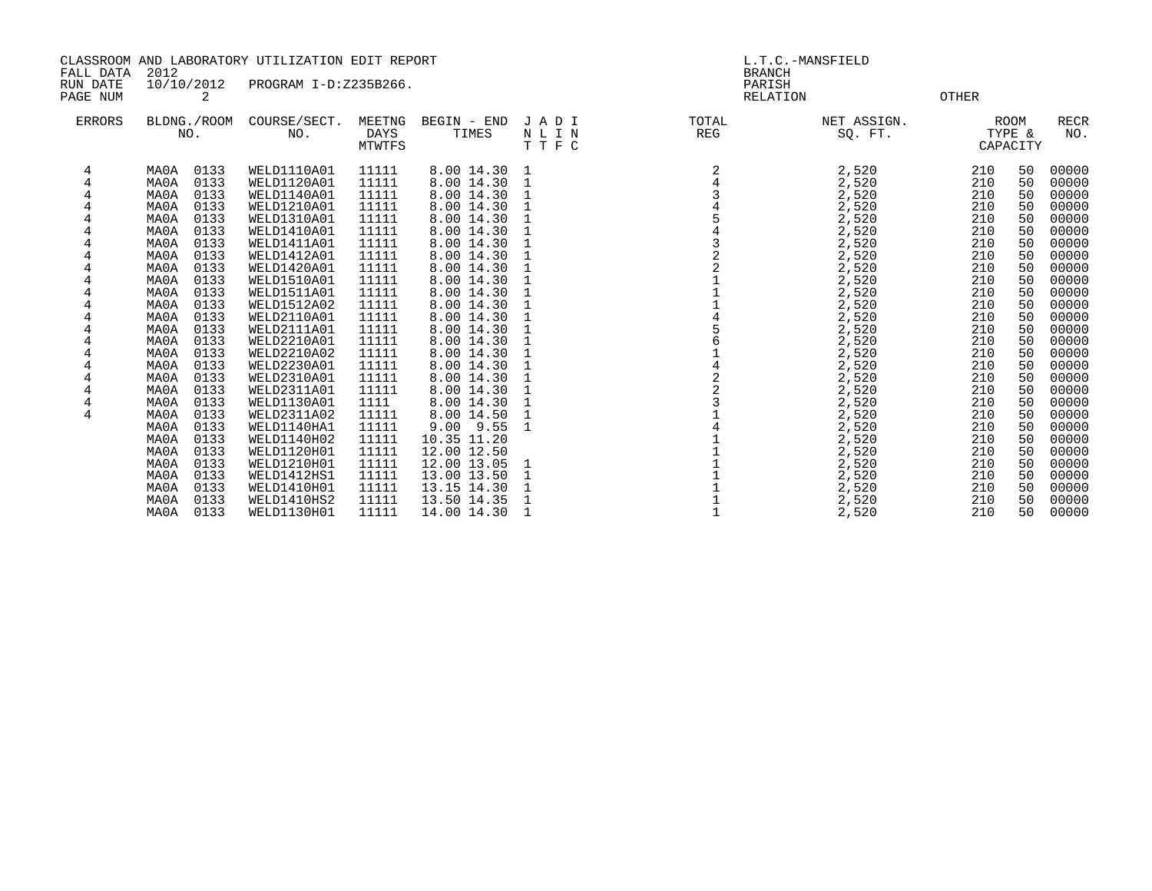| CLASSROOM AND LABORATORY UTILIZATION EDIT REPORT<br>FALL DATA<br>2012 |                                                                                                                                                                                                                                                                                                                                                              |                                                                                                                                                                                                                                                                                                                                        |                                                                                                                                                                                                   | L.T.C.-MANSFIELD<br><b>BRANCH</b>                                                                                                                                                                                                                                                                                   |                             |                                                                                                        |                                                                                                                                                                                                    |                                                                                                                                                        |                                                                                                                                  |                                                                                                                                                                                                    |
|-----------------------------------------------------------------------|--------------------------------------------------------------------------------------------------------------------------------------------------------------------------------------------------------------------------------------------------------------------------------------------------------------------------------------------------------------|----------------------------------------------------------------------------------------------------------------------------------------------------------------------------------------------------------------------------------------------------------------------------------------------------------------------------------------|---------------------------------------------------------------------------------------------------------------------------------------------------------------------------------------------------|---------------------------------------------------------------------------------------------------------------------------------------------------------------------------------------------------------------------------------------------------------------------------------------------------------------------|-----------------------------|--------------------------------------------------------------------------------------------------------|----------------------------------------------------------------------------------------------------------------------------------------------------------------------------------------------------|--------------------------------------------------------------------------------------------------------------------------------------------------------|----------------------------------------------------------------------------------------------------------------------------------|----------------------------------------------------------------------------------------------------------------------------------------------------------------------------------------------------|
| RUN DATE                                                              | 10/10/2012                                                                                                                                                                                                                                                                                                                                                   | PROGRAM I-D:Z235B266.                                                                                                                                                                                                                                                                                                                  |                                                                                                                                                                                                   |                                                                                                                                                                                                                                                                                                                     |                             | PARISH                                                                                                 |                                                                                                                                                                                                    |                                                                                                                                                        |                                                                                                                                  |                                                                                                                                                                                                    |
| PAGE NUM                                                              | 2                                                                                                                                                                                                                                                                                                                                                            |                                                                                                                                                                                                                                                                                                                                        |                                                                                                                                                                                                   |                                                                                                                                                                                                                                                                                                                     |                             | RELATION                                                                                               |                                                                                                                                                                                                    | <b>OTHER</b>                                                                                                                                           |                                                                                                                                  |                                                                                                                                                                                                    |
| <b>ERRORS</b>                                                         | BLDNG./ROOM<br>NO.                                                                                                                                                                                                                                                                                                                                           | COURSE/SECT.<br>NO.                                                                                                                                                                                                                                                                                                                    | MEETNG<br>DAYS<br>MTWTFS                                                                                                                                                                          | BEGIN - END<br>TIMES                                                                                                                                                                                                                                                                                                | JADI<br>NLIN<br>TTFC        | TOTAL<br>REG                                                                                           | NET ASSIGN.<br>SQ. FT.                                                                                                                                                                             |                                                                                                                                                        | ROOM<br>TYPE &<br>CAPACITY                                                                                                       | <b>RECR</b><br>NO.                                                                                                                                                                                 |
| 4<br>4<br>4<br>4<br>4<br>$\overline{4}$                               | 0133<br>MA0A<br>0133<br>MA0A<br>0133<br>MA0A<br>MA0A<br>0133<br>0133<br>MA0A<br>0133<br>MA0A<br>0133<br>MA0A<br>0133<br>MA0A<br>0133<br>MA0A<br>0133<br>MA0A<br>0133<br>MA0A<br>0133<br>MA0A<br>0133<br>MA0A<br>0133<br>MA0A<br>0133<br>MA0A<br>0133<br>MA0A<br>MA0A<br>0133<br>0133<br>MA0A<br>0133<br>MA0A<br>MA0A<br>0133<br>0133<br>MA0A<br>0133<br>MA0A | WELD1110A01<br>WELD1120A01<br>WELD1140A01<br>WELD1210A01<br>WELD1310A01<br>WELD1410A01<br>WELD1411A01<br>WELD1412A01<br>WELD1420A01<br>WELD1510A01<br>WELD1511A01<br>WELD1512A02<br>WELD2110A01<br>WELD2111A01<br>WELD2210A01<br>WELD2210A02<br>WELD2230A01<br>WELD2310A01<br>WELD2311A01<br>WELD1130A01<br>WELD2311A02<br>WELD1140HA1 | 11111<br>11111<br>11111<br>11111<br>11111<br>11111<br>11111<br>11111<br>11111<br>11111<br>11111<br>11111<br>11111<br>11111<br>11111<br>11111<br>11111<br>11111<br>11111<br>1111<br>11111<br>11111 | 8.00 14.30<br>8.00 14.30<br>8.00 14.30<br>8.00 14.30<br>8.00 14.30<br>8.00 14.30<br>8.00 14.30<br>8.00 14.30<br>8.00 14.30<br>8.00 14.30<br>8.00 14.30<br>8.00 14.30<br>8.00 14.30<br>8.00 14.30<br>8.00 14.30<br>8.00 14.30<br>8.00 14.30<br>8.00 14.30<br>8.00 14.30<br>8.00 14.30<br>8.00 14.50<br>$9.00$ $9.55$ | -1<br>1<br>1<br>1<br>1<br>1 | $\overline{2}$<br>$\overline{2}$<br>$\mathbf{1}$<br>$\overline{1}$<br>$\overline{6}$<br>$4223$<br>$14$ | 2,520<br>2,520<br>2,520<br>2,520<br>2,520<br>2,520<br>2,520<br>2,520<br>2,520<br>2,520<br>2,520<br>2,520<br>2,520<br>2,520<br>2,520<br>2,520<br>2,520<br>2,520<br>2,520<br>2,520<br>2,520<br>2,520 | 210<br>210<br>210<br>210<br>210<br>210<br>210<br>210<br>210<br>210<br>210<br>210<br>210<br>210<br>210<br>210<br>210<br>210<br>210<br>210<br>210<br>210 | 50<br>50<br>50<br>50<br>50<br>50<br>50<br>50<br>50<br>50<br>50<br>50<br>50<br>50<br>50<br>50<br>50<br>50<br>50<br>50<br>50<br>50 | 00000<br>00000<br>00000<br>00000<br>00000<br>00000<br>00000<br>00000<br>00000<br>00000<br>00000<br>00000<br>00000<br>00000<br>00000<br>00000<br>00000<br>00000<br>00000<br>00000<br>00000<br>00000 |
|                                                                       | 0133<br>MA0A<br>0133<br>MA0A<br>0133<br>MA0A<br>0133<br>MA0A<br>0133<br>MA0A<br>0133<br>MA0A<br>0133<br>MA0A                                                                                                                                                                                                                                                 | WELD1140H02<br>WELD1120H01<br>WELD1210H01<br>WELD1412HS1<br>WELD1410H01<br>WELD1410HS2<br>WELD1130H01                                                                                                                                                                                                                                  | 11111<br>11111<br>11111<br>11111<br>11111<br>11111<br>11111                                                                                                                                       | 10.35 11.20<br>12.00 12.50<br>12.00 13.05<br>13.00 13.50<br>13.15 14.30<br>13.50 14.35<br>14.00 14.30                                                                                                                                                                                                               | 1<br>1<br>1                 |                                                                                                        | 2,520<br>2,520<br>2,520<br>2,520<br>2,520<br>2,520<br>2,520                                                                                                                                        | 210<br>210<br>210<br>210<br>210<br>210<br>210                                                                                                          | 50<br>50<br>50<br>50<br>50<br>50<br>50                                                                                           | 00000<br>00000<br>00000<br>00000<br>00000<br>00000<br>00000                                                                                                                                        |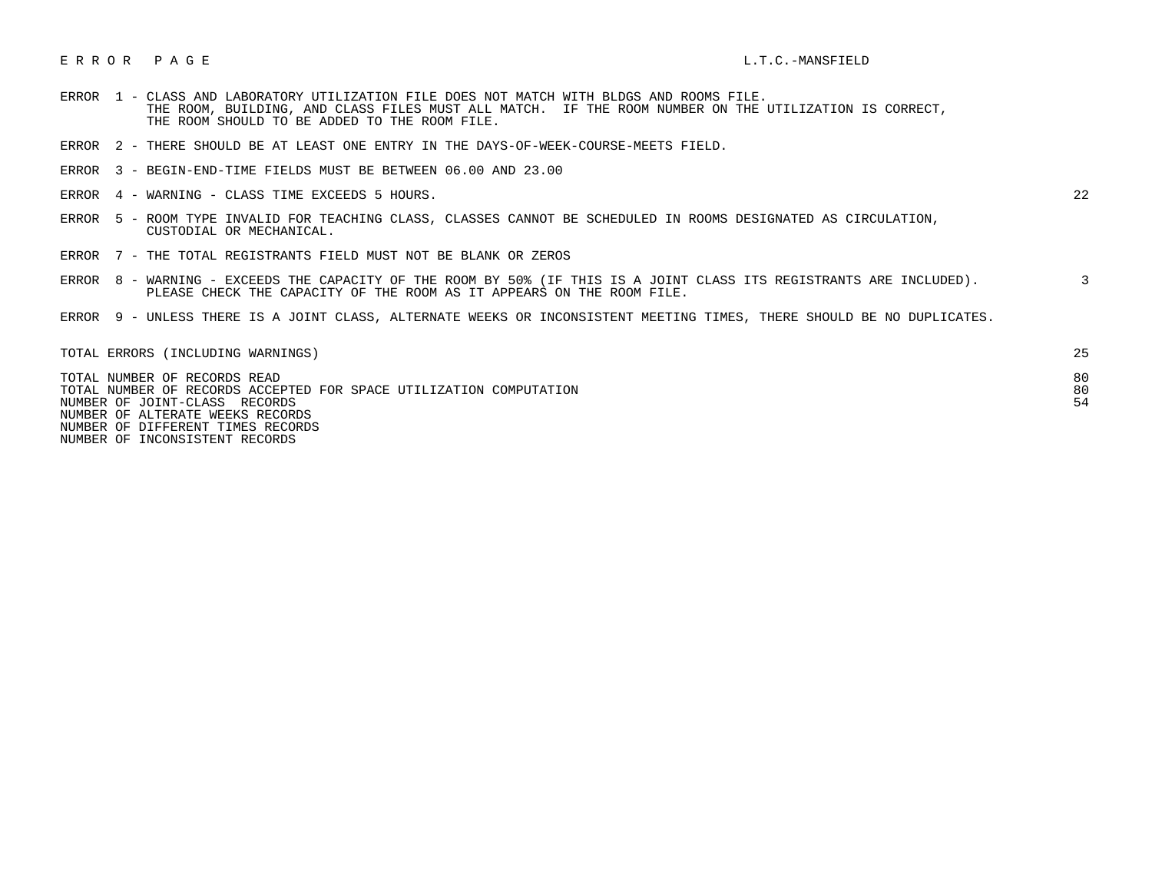## E R R O R P A G E L.T.C.-MANSFIELD

- ERROR 1 CLASS AND LABORATORY UTILIZATION FILE DOES NOT MATCH WITH BLDGS AND ROOMS FILE. THE ROOM, BUILDING, AND CLASS FILES MUST ALL MATCH. IF THE ROOM NUMBER ON THE UTILIZATION IS CORRECT, THE ROOM SHOULD TO BE ADDED TO THE ROOM FILE.
- ERROR 2 THERE SHOULD BE AT LEAST ONE ENTRY IN THE DAYS-OF-WEEK-COURSE-MEETS FIELD.
- ERROR 3 BEGIN-END-TIME FIELDS MUST BE BETWEEN 06.00 AND 23.00
- ERROR 4 WARNING CLASS TIME EXCEEDS 5 HOURS. 22

- ERROR 5 ROOM TYPE INVALID FOR TEACHING CLASS, CLASSES CANNOT BE SCHEDULED IN ROOMS DESIGNATED AS CIRCULATION, CUSTODIAL OR MECHANICAL.
- ERROR 7 THE TOTAL REGISTRANTS FIELD MUST NOT BE BLANK OR ZEROS
- ERROR 8 WARNING EXCEEDS THE CAPACITY OF THE ROOM BY 50% (IF THIS IS A JOINT CLASS ITS REGISTRANTS ARE INCLUDED). 3 PLEASE CHECK THE CAPACITY OF THE ROOM AS IT APPEARS ON THE ROOM FILE.
- ERROR 9 UNLESS THERE IS A JOINT CLASS, ALTERNATE WEEKS OR INCONSISTENT MEETING TIMES, THERE SHOULD BE NO DUPLICATES.

| TOTAL ERRORS (INCLUDING WARNINGS)                                                                                                                                       | 25             |
|-------------------------------------------------------------------------------------------------------------------------------------------------------------------------|----------------|
| TOTAL NUMBER OF RECORDS READ<br>TOTAL NUMBER OF RECORDS ACCEPTED FOR SPACE UTILIZATION COMPUTATION<br>NUMBER OF JOINT-CLASS RECORDS<br>NUMBER OF ALTERATE WEEKS RECORDS | 80<br>80<br>54 |
| NUMBER OF DIFFERENT TIMES RECORDS                                                                                                                                       |                |

NUMBER OF INCONSISTENT RECORDS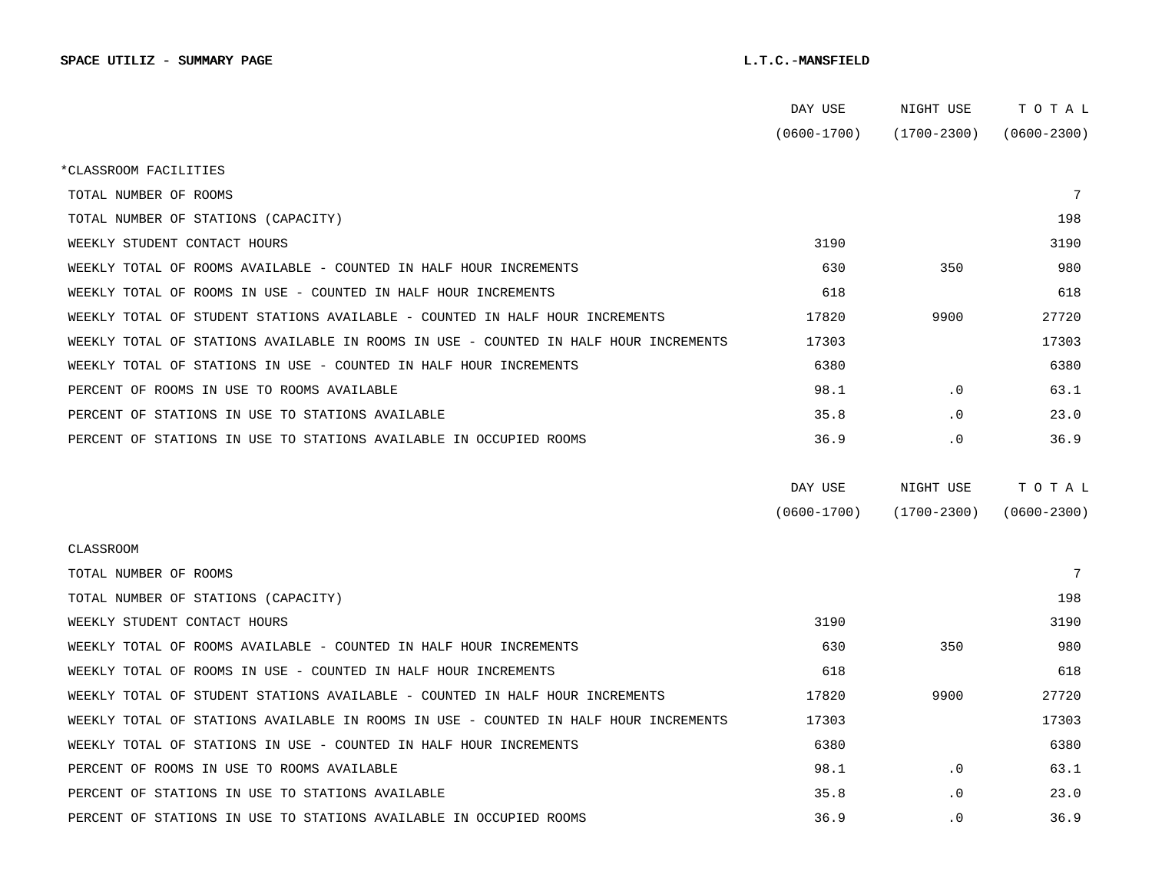|                                                                                      | DAY USE         | NIGHT USE       | TOTAL           |
|--------------------------------------------------------------------------------------|-----------------|-----------------|-----------------|
|                                                                                      | $(0600 - 1700)$ | $(1700 - 2300)$ | $(0600 - 2300)$ |
| *CLASSROOM FACILITIES                                                                |                 |                 |                 |
| TOTAL NUMBER OF ROOMS                                                                |                 |                 | $7\phantom{.0}$ |
| TOTAL NUMBER OF STATIONS (CAPACITY)                                                  |                 |                 | 198             |
| WEEKLY STUDENT CONTACT HOURS                                                         | 3190            |                 | 3190            |
| WEEKLY TOTAL OF ROOMS AVAILABLE - COUNTED IN HALF HOUR INCREMENTS                    | 630             | 350             | 980             |
| WEEKLY TOTAL OF ROOMS IN USE - COUNTED IN HALF HOUR INCREMENTS                       | 618             |                 | 618             |
| WEEKLY TOTAL OF STUDENT STATIONS AVAILABLE - COUNTED IN HALF HOUR INCREMENTS         | 17820           | 9900            | 27720           |
| WEEKLY TOTAL OF STATIONS AVAILABLE IN ROOMS IN USE - COUNTED IN HALF HOUR INCREMENTS | 17303           |                 | 17303           |
| WEEKLY TOTAL OF STATIONS IN USE - COUNTED IN HALF HOUR INCREMENTS                    | 6380            |                 | 6380            |
| PERCENT OF ROOMS IN USE TO ROOMS AVAILABLE                                           | 98.1            | $\cdot$ 0       | 63.1            |
| PERCENT OF STATIONS IN USE TO STATIONS AVAILABLE                                     | 35.8            | $\cdot$ 0       | 23.0            |
| PERCENT OF STATIONS IN USE TO STATIONS AVAILABLE IN OCCUPIED ROOMS                   | 36.9            | $\cdot$ 0       | 36.9            |
|                                                                                      |                 |                 |                 |
|                                                                                      | DAY USE         | NIGHT USE       | TOTAL           |
|                                                                                      | $(0600 - 1700)$ | $(1700 - 2300)$ | $(0600 - 2300)$ |
| <b>CLASSROOM</b>                                                                     |                 |                 |                 |
| TOTAL NUMBER OF ROOMS                                                                |                 |                 | $7\phantom{.0}$ |
| TOTAL NUMBER OF STATIONS (CAPACITY)                                                  |                 |                 | 198             |
| WEEKLY STUDENT CONTACT HOURS                                                         | 3190            |                 | 3190            |
| WEEKLY TOTAL OF ROOMS AVAILABLE - COUNTED IN HALF HOUR INCREMENTS                    | 630             | 350             | 980             |
| WEEKLY TOTAL OF ROOMS IN USE - COUNTED IN HALF HOUR INCREMENTS                       | 618             |                 | 618             |
| WEEKLY TOTAL OF STUDENT STATIONS AVAILABLE - COUNTED IN HALF HOUR INCREMENTS         | 17820           | 9900            | 27720           |
| WEEKLY TOTAL OF STATIONS AVAILABLE IN ROOMS IN USE - COUNTED IN HALF HOUR INCREMENTS | 17303           |                 | 17303           |
| WEEKLY TOTAL OF STATIONS IN USE - COUNTED IN HALF HOUR INCREMENTS                    | 6380            |                 | 6380            |
| PERCENT OF ROOMS IN USE TO ROOMS AVAILABLE                                           | 98.1            | $\cdot$ 0       | 63.1            |
| PERCENT OF STATIONS IN USE TO STATIONS AVAILABLE                                     | 35.8            | . 0             | 23.0            |
| PERCENT OF STATIONS IN USE TO STATIONS AVAILABLE IN OCCUPIED ROOMS                   | 36.9            | $\cdot$ 0       | 36.9            |